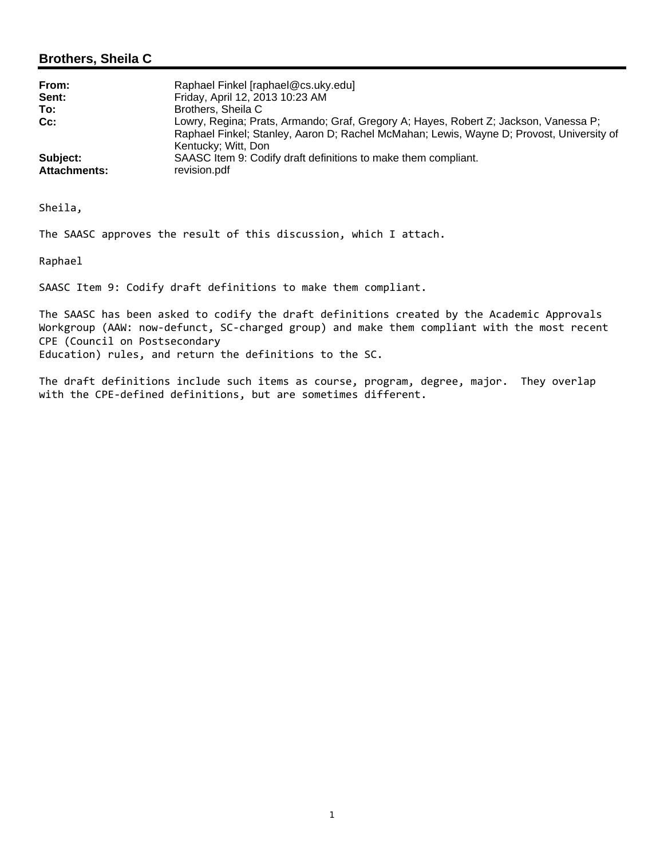#### **Brothers, Sheila C**

| From:               | Raphael Finkel [raphael@cs.uky.edu]                                                      |
|---------------------|------------------------------------------------------------------------------------------|
| Sent:               | Friday, April 12, 2013 10:23 AM                                                          |
| To:                 | Brothers, Sheila C                                                                       |
| $Cc$ :              | Lowry, Regina; Prats, Armando; Graf, Gregory A; Hayes, Robert Z; Jackson, Vanessa P;     |
|                     | Raphael Finkel; Stanley, Aaron D; Rachel McMahan; Lewis, Wayne D; Provost, University of |
|                     | Kentucky; Witt, Don                                                                      |
| Subject:            | SAASC Item 9: Codify draft definitions to make them compliant.                           |
| <b>Attachments:</b> | revision.pdf                                                                             |

Sheila,

The SAASC approves the result of this discussion, which I attach.

Raphael

SAASC Item 9: Codify draft definitions to make them compliant.

The SAASC has been asked to codify the draft definitions created by the Academic Approvals Workgroup (AAW: now-defunct, SC-charged group) and make them compliant with the most recent CPE (Council on Postsecondary Education) rules, and return the definitions to the SC.

The draft definitions include such items as course, program, degree, major. They overlap with the CPE-defined definitions, but are sometimes different.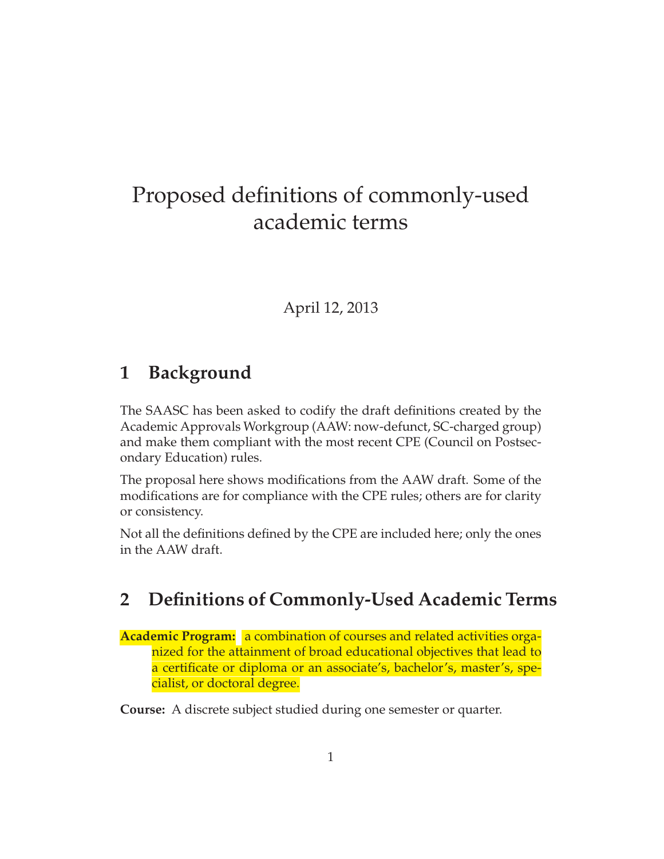# Proposed definitions of commonly-used academic terms

### April 12, 2013

## **1 Background**

The SAASC has been asked to codify the draft definitions created by the Academic Approvals Workgroup (AAW: now-defunct, SC-charged group) and make them compliant with the most recent CPE (Council on Postsecondary Education) rules.

The proposal here shows modifications from the AAW draft. Some of the modifications are for compliance with the CPE rules; others are for clarity or consistency.

Not all the definitions defined by the CPE are included here; only the ones in the AAW draft.

## **2 Definitions of Commonly-Used Academic Terms**

**Academic Program:** a combination of courses and related activities organized for the attainment of broad educational objectives that lead to a certificate or diploma or an associate's, bachelor's, master's, specialist, or doctoral degree.

**Course:** A discrete subject studied during one semester or quarter.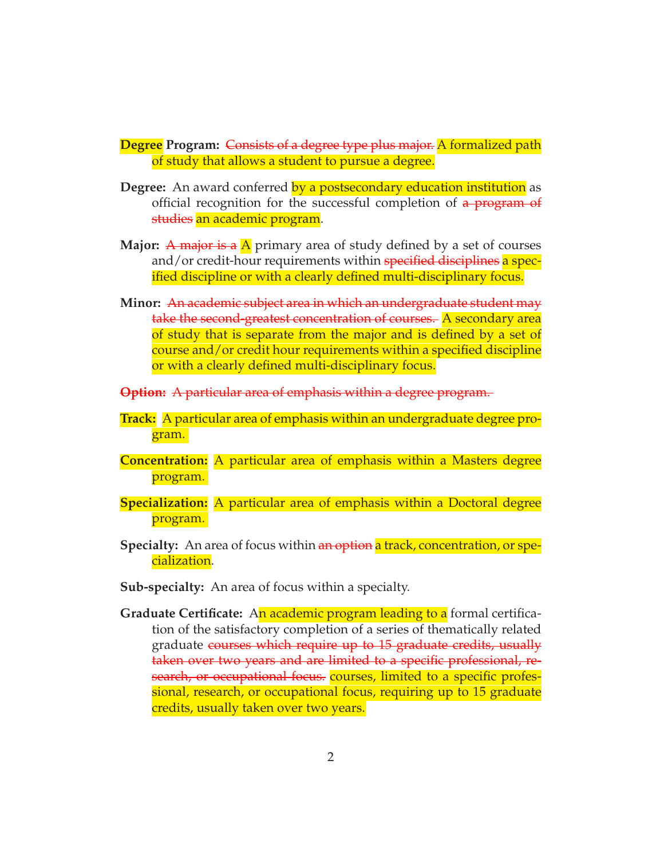**Degree Program:** Consists of a degree type plus major. A formalized path of study that allows a student to pursue a degree.

- **Degree:** An award conferred by a postsecondary education institution as official recognition for the successful completion of a **program** of studies an academic program.
- **Major:** A major is a  $\Lambda$  primary area of study defined by a set of courses and/or credit-hour requirements within specified disciplines a specified discipline or with a clearly defined multi-disciplinary focus.
- **Minor:** An academic subject area in which an undergraduate student may take the second-greatest concentration of courses. A secondary area of study that is separate from the major and is defined by a set of course and/or credit hour requirements within a specified discipline or with a clearly defined multi-disciplinary focus.
- **Option:** A particular area of emphasis within a degree program.
- **Track:** A particular area of emphasis within an undergraduate degree program.
- **Concentration:** A particular area of emphasis within a Masters degree program.
- **Specialization:** A particular area of emphasis within a Doctoral degree program.
- **Specialty:** An area of focus within an option a track, concentration, or specialization.
- **Sub-specialty:** An area of focus within a specialty.
- **Graduate Certificate:** An academic program leading to a formal certification of the satisfactory completion of a series of thematically related graduate courses which require up to 15 graduate credits, usually taken over two years and are limited to a specific professional, research, or occupational focus. courses, limited to a specific professional, research, or occupational focus, requiring up to 15 graduate credits, usually taken over two years.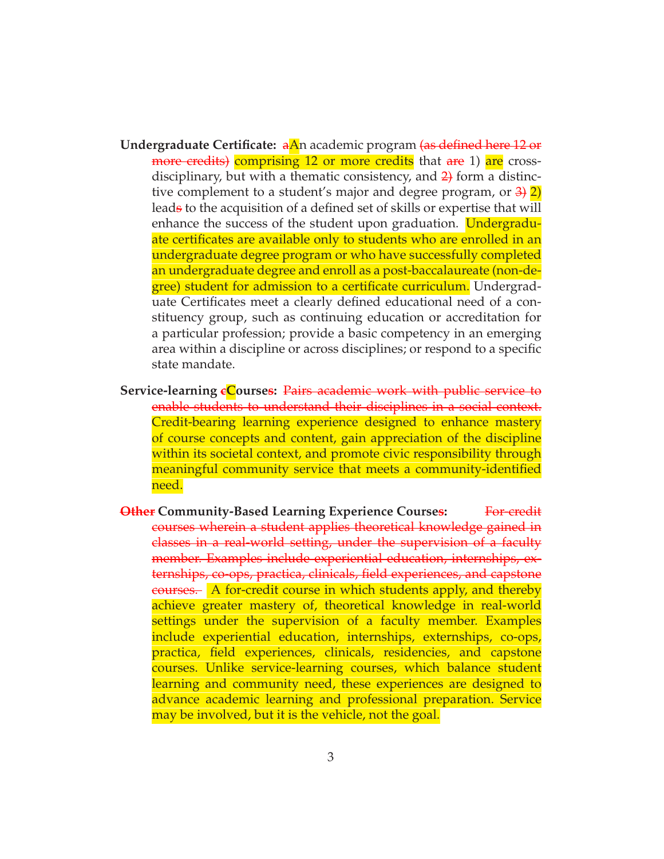- **Undergraduate Certificate:** aAn academic program (as defined here 12 or more credits) comprising 12 or more credits that are 1) are crossdisciplinary, but with a thematic consistency, and  $\frac{2}{2}$  form a distinctive complement to a student's major and degree program, or  $3\frac{1}{2}$ leads to the acquisition of a defined set of skills or expertise that will enhance the success of the student upon graduation. Undergraduate certificates are available only to students who are enrolled in an undergraduate degree program or who have successfully completed an undergraduate degree and enroll as a post-baccalaureate (non-degree) student for admission to a certificate curriculum. Undergraduate Certificates meet a clearly defined educational need of a constituency group, such as continuing education or accreditation for a particular profession; provide a basic competency in an emerging area within a discipline or across disciplines; or respond to a specific state mandate.
- **Service-learning cCourses:** Pairs academic work with public service to enable students to understand their disciplines in a social context. Credit-bearing learning experience designed to enhance mastery of course concepts and content, gain appreciation of the discipline within its societal context, and promote civic responsibility through meaningful community service that meets a community-identified need.
- **Other** Community-Based Learning Experience Courses: For-credit courses wherein a student applies theoretical knowledge gained in classes in a real-world setting, under the supervision of a faculty member. Examples include experiential education, internships, externships, co-ops, practica, clinicals, field experiences, and capstone courses. A for-credit course in which students apply, and thereby achieve greater mastery of, theoretical knowledge in real-world settings under the supervision of a faculty member. Examples include experiential education, internships, externships, co-ops, practica, field experiences, clinicals, residencies, and capstone courses. Unlike service-learning courses, which balance student learning and community need, these experiences are designed to advance academic learning and professional preparation. Service may be involved, but it is the vehicle, not the goal.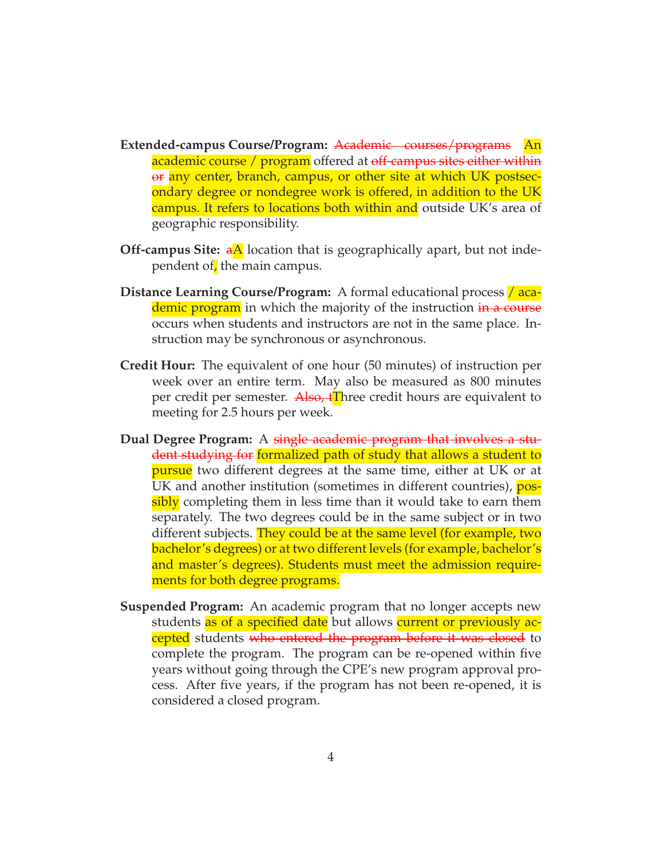- **Extended-campus Course/Program:** Academic courses/programs An academic course / program offered at off-campus sites either within or any center, branch, campus, or other site at which UK postsecondary degree or nondegree work is offered, in addition to the UK campus. It refers to locations both within and outside UK's area of geographic responsibility.
- **Off-campus Site:**  $a\text{A}$  location that is geographically apart, but not independent of, the main campus.
- **Distance Learning Course/Program:** A formal educational process / academic program in which the majority of the instruction in a course occurs when students and instructors are not in the same place. Instruction may be synchronous or asynchronous.
- **Credit Hour:** The equivalent of one hour (50 minutes) of instruction per week over an entire term. May also be measured as 800 minutes per credit per semester. Also,  $\mathbf{f}$ Three credit hours are equivalent to meeting for 2.5 hours per week.
- **Dual Degree Program:** A single academic program that involves a student studying for formalized path of study that allows a student to **pursue** two different degrees at the same time, either at UK or at UK and another institution (sometimes in different countries), possibly completing them in less time than it would take to earn them separately. The two degrees could be in the same subject or in two different subjects. They could be at the same level (for example, two bachelor's degrees) or at two different levels (for example, bachelor's and master's degrees). Students must meet the admission requirements for both degree programs.
- **Suspended Program:** An academic program that no longer accepts new students as of a specified date but allows current or previously accepted students who entered the program before it was closed to complete the program. The program can be re-opened within five years without going through the CPE's new program approval process. After five years, if the program has not been re-opened, it is considered a closed program.